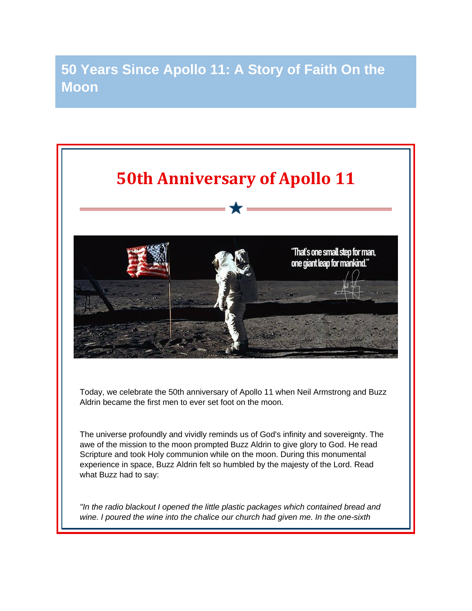## **50 Years Since Apollo 11: A Story of Faith On the Moon**



The universe profoundly and vividly reminds us of God's infinity and sovereignty. The awe of the mission to the moon prompted Buzz Aldrin to give glory to God. He read Scripture and took Holy communion while on the moon. During this monumental experience in space, Buzz Aldrin felt so humbled by the majesty of the Lord. Read what Buzz had to say:

*"In the radio blackout I opened the little plastic packages which contained bread and wine. I poured the wine into the chalice our church had given me. In the one-sixth*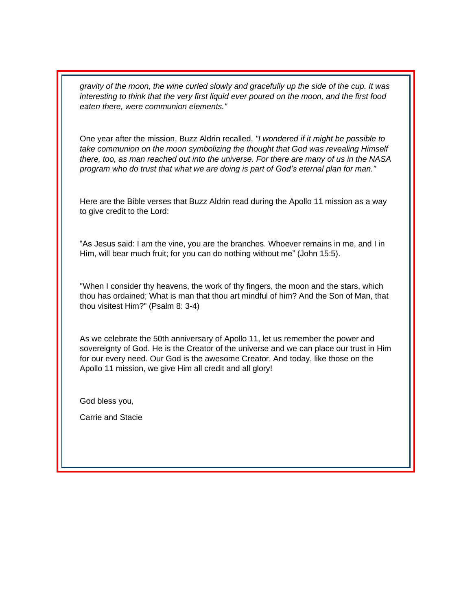*gravity of the moon, the wine curled slowly and gracefully up the side of the cup. It was interesting to think that the very first liquid ever poured on the moon, and the first food eaten there, were communion elements."*

One year after the mission, Buzz Aldrin recalled, *"I wondered if it might be possible to take communion on the moon symbolizing the thought that God was revealing Himself there, too, as man reached out into the universe. For there are many of us in the NASA program who do trust that what we are doing is part of God's eternal plan for man."*

Here are the Bible verses that Buzz Aldrin read during the Apollo 11 mission as a way to give credit to the Lord:

"As Jesus said: I am the vine, you are the branches. Whoever remains in me, and I in Him, will bear much fruit; for you can do nothing without me" (John 15:5).

"When I consider thy heavens, the work of thy fingers, the moon and the stars, which thou has ordained; What is man that thou art mindful of him? And the Son of Man, that thou visitest Him?" (Psalm 8: 3-4)

As we celebrate the 50th anniversary of Apollo 11, let us remember the power and sovereignty of God. He is the Creator of the universe and we can place our trust in Him for our every need. Our God is the awesome Creator. And today, like those on the Apollo 11 mission, we give Him all credit and all glory!

God bless you,

Carrie and Stacie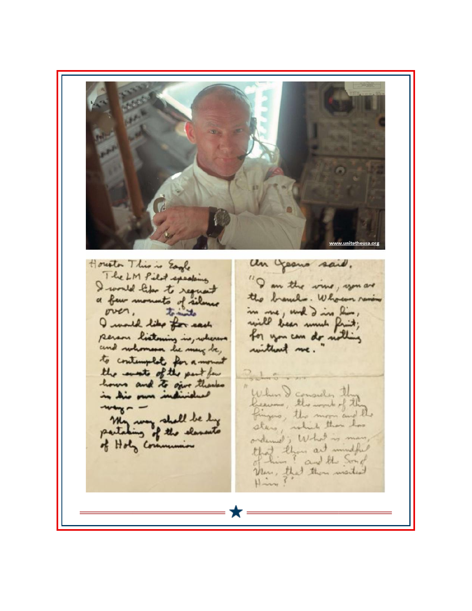www.unitetheusa.org Houston This is Eagle an geomo said. The LM Pilot speaking "I am the vine, you are I would like to request the branches. Who can remin a few moments of silence in me, und d'in him ;<br>mill been numb finit ;<br>for you can de nothing over, tomito I would like for each person listening in, wherever and ruhomson be many be, without me. to contemplate for a mount the most of the part for  $2 + 5$ hours and to give thanks When I consider the in his own individual Leaves, the work of the  $$ fingers, the moon and the My way shall be by sters, which than has partaking of the elements ordened; What is man of Holy Communion Hotel than and mindful Man, that they wisited Х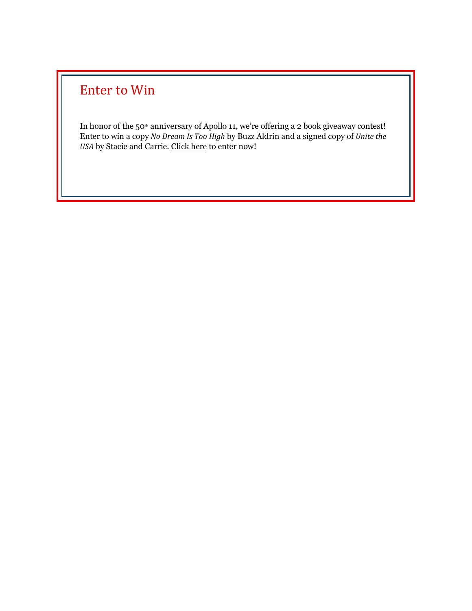## Enter to Win

In honor of the 50<sup>th</sup> anniversary of Apollo 11, we're offering a 2 book giveaway contest! Enter to win a copy *No Dream Is Too High* by Buzz Aldrin and a signed copy of *Unite the USA* by Stacie and Carrie. [Click here](http://unitetheusa.org/id143.html) to enter now!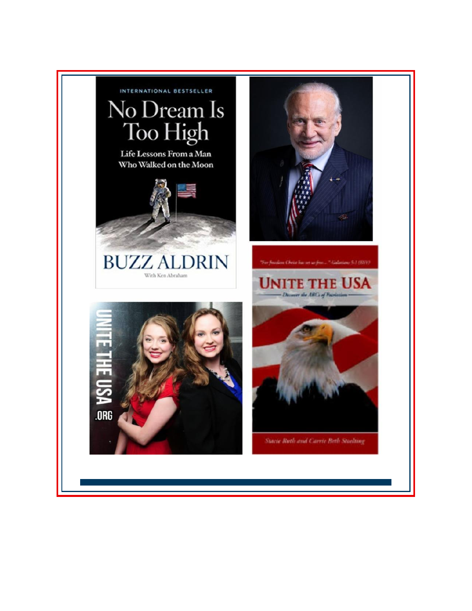